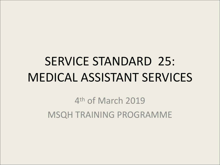# SERVICE STANDARD 25: MEDICAL ASSISTANT SERVICES

4th of March 2019 MSQH TRAINING PROGRAMME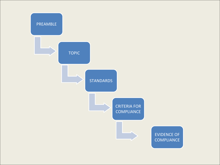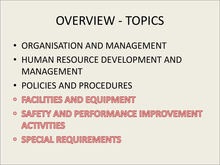# OVERVIEW - TOPICS

- ORGANISATION AND MANAGEMENT
- HUMAN RESOURCE DEVELOPMENT AND MANAGEMENT
- POLICIES AND PROCEDURES
- **FACILITIES AND EQUIPMENT**
- **O SAFETY AND PERFORMANCE IMPROVEMENT ACTIVITIES**
- **O SPECIAL REQUIREMENTS**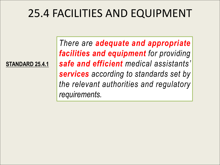# 25.4 FACILITIES AND EQUIPMENT

**STANDARD 25.4.1**

*There are adequate and appropriate facilities and equipment for providing safe and efficient medical assistants' services according to standards set by the relevant authorities and regulatory requirements.*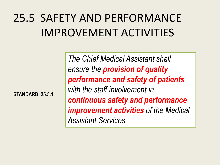# 25.5 SAFETY AND PERFORMANCE IMPROVEMENT ACTIVITIES

**STANDARD 25.5.1**

*The Chief MedicalAssistant shall ensure the provision of quality performance and safety of patients with the staff involvement in continuous safety and performance improvement activities of the Medical Assistant Services*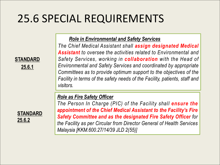# 25.6 SPECIAL REQUIREMENTS

### *Role in Environmental and Safety Services*

**STANDARD** *Safety Services, working in collaboration with the Head of* **25.6.1** *Environmental and Safety Services and coordinated by appropriate The Chief Medical Assistant shall assign designated Medical Assistant to oversee the activities related to Environmental and Committees as to provide optimum support to the objectives of the Facility in terms of the safety needs ofthe Facility, patients, staff and visitors.*

### *Role as Fire Safety Officer*



STANDARD **STANDARD** Sefety Committee on *The Person In Charge (PIC) of the Facility shall ensure the appointment of the Chief Medical Assistant to the Facility's Fire Safety Committee and as the designated Fire Safety Officer for the Facility as per Circular from Director General of Health Services Malaysia [KKM.600.27/14/39 JLD 2(55)]*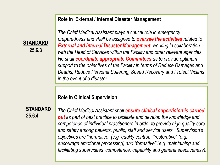### **Role in External / Internal Disaster Management**

**STANDARD** External and Internal Dis **25.6.3** *with the Head of Services within the Facility and other relevant agencies. The Chief MedicalAssistant plays a critical role in emergency preparedness and shall be assigned to oversee the activities related to External and Internal Disaster Management, working in collaboration He shall coordinate appropriate Committees as to provide optimum support to the objectives of the Facility in terms of Reduce Damages and Deaths, Reduce Personal Suffering, Speed Recovery and Protect Victims in the event of a disaster*

### **Role in Clinical Supervision**

**STANDARD** *The Chief MedicalAssistant shall ensure clinical supervision is carried* **25.6.4** *out as part of best practice to facilitate and develop the knowledge and competence of individual practitioners in order to provide high quality care and safety among patients, public, staff and service users. Supervision's objectives are "normative" (e.g. quality control), "restorative" (e.g. encourage emotional processing) and "formative" (e.g. maintaining and facilitating supervisees' competence, capability and general effectiveness).*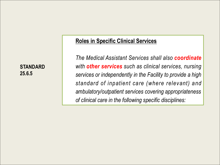**25.6.5**

### **Roles in Specific Clinical Services**

**STANDARD** *with other services such as clinical services, nursing The Medical Assistant Services shall also coordinate services or independently in the Facility to provide a high standard of inpatient care (where relevant) and ambulatory/outpatient services covering appropriateness of clinical care in the following specific disciplines:*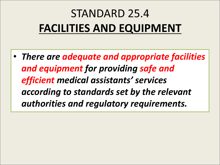# **STANDARD 25.4 FACILITIES AND EQUIPMENT**

• *There are adequate and appropriate facilities and equipment for providing safe and efficient medical assistants' services according to standards set by the relevant authorities and regulatory requirements.*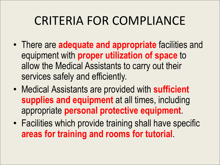- There are **adequate and appropriate** facilities and equipment with **proper utilization of space** to allow the Medical Assistants to carry out their services safely and efficiently.
- Medical Assistants are provided with **sufficient supplies and equipment** at all times, including appropriate **personal protective equipment**.
- Facilities which provide training shall have specific **areas for training and rooms for tutorial**.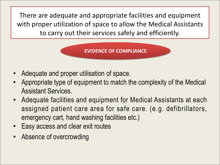There are adequate and appropriate facilities and equipment with proper utilization of space to allow the Medical Assistants to carry out their services safely and efficiently.



- Adequate and proper utilisation of space.
- Appropriate type of equipment to match the complexity of the Medical Assistant Services.
- Adequate facilities and equipment for Medical Assistants at each assigned patient care area for safe care. (e.g. defibrillators, emergency cart, hand washing facilities etc.)
- Easy access and clear exit routes
- Absence of overcrowding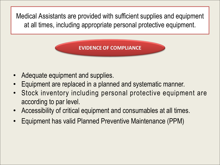Medical Assistants are provided with sufficient supplies and equipment at all times, including appropriate personal protective equipment.

- Adequate equipment and supplies.
- Equipment are replaced in a planned and systematic manner.
- Stock inventory including personal protective equipment are according to par level.
- Accessibility of critical equipment and consumables at all times.
- Equipment has valid Planned Preventive Maintenance (PPM)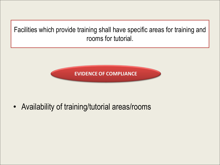Facilities which provide training shall have specific areas for training and rooms for tutorial.



• Availability of training/tutorial areas/rooms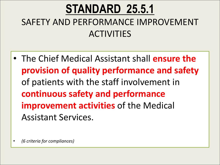## **STANDARD 25.5.1** SAFETY AND PERFORMANCE IMPROVEMENT **ACTIVITIES**

- The Chief Medical Assistant shall **ensure the provision of quality performance and safety** of patients with the staff involvement in **continuous safety and performance improvement activities** of the Medical Assistant Services.
- *(6 criteria for compliances)*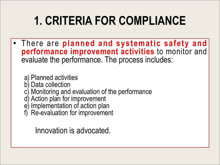• There are **planned and systematic safety and performance improvement activities** to monitor and evaluate the performance. The process includes:

a) Planned activities

- b) Data collection
- c) Monitoring and evaluation of the performance
- d) Action plan for improvement
- e) Implementation of action plan
- f) Re-evaluation for improvement

Innovation is advocated.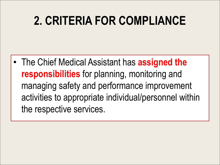• The Chief MedicalAssistant has **assigned the responsibilities** for planning, monitoring and managing safety and performance improvement activities to appropriate individual/personnel within the respective services.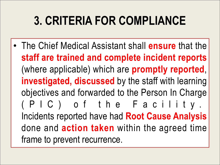• The Chief Medical Assistant shall **ensure** that the **staff are trained and complete incident reports** (where applicable) which are **promptly reported**, **investigated, discussed** by the staff with learning objectives and forwarded to the Person In Charge ( P I C ) of t h e F a c i l i t y . Incidents reported have had **Root Cause Analysis** done and **action taken** within the agreed time frame to prevent recurrence.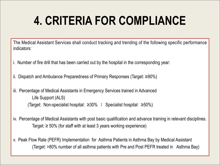The Medical Assistant Services shall conduct tracking and trending of the following specific performance indicators:

- i. Number of fire drill that has been carried out by the hospital in the corresponding year:
- ii. Dispatch and Ambulance Preparedness of Primary Responses (Target: ≥90%)
- iii. Percentage of Medical Assistants in Emergency Services trained in Advanced Life Support (ALS) (Target: Non-specialist hospital: ≥30% / Specialist hospital: ≥50%)
- iv. Percentage of Medical Assistants with post basic qualification and advance training in relevant disciplines. Target:  $\geq 50\%$  (for staff with at least 3 years working experience)
- v. Peak Flow Rate (PEFR) Implementation for Asthma Patients in Asthma Bay by Medical Assistant (Target: >80% number of all asthma patients with Pre and Post PEFR treated in Asthma Bay)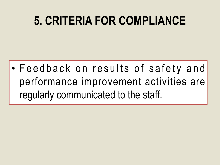• Feedback on results of safety and performance improvement activities are regularly communicated to the staff.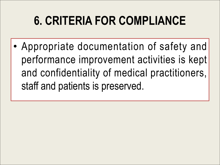• Appropriate documentation of safety and performance improvement activities is kept and confidentiality of medical practitioners, staff and patients is preserved.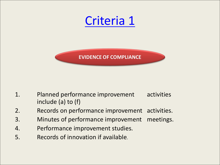

- 1. Planned performance improvement activities include (a) to (f)
- 2. Records on performance improvement activities.
- 3. Minutes of performance improvement meetings.
- 4. Performance improvement studies.
- 5. Records of innovation if available.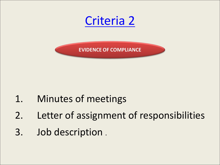

## 1. Minutes of meetings

- 2. Letter of assignment of responsibilities
- 3. Job description .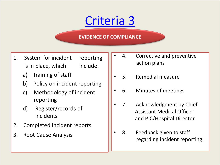- 1. System for incident reporting  $\int_0^1$  4. is in place, which include:
	- a) Training of staff
	- b) Policy on incident reporting
	- c) Methodology of incident  $\begin{bmatrix} \cdot & 6. \end{bmatrix}$ reporting
	- d) Register/records of  $\begin{bmatrix} \cdot & 7. \end{bmatrix}$ incidents
- 2. Completed incident reports
- 3. Root Cause Analysis
- Corrective and preventive action plans
- 5. Remedial measure
- Minutes of meetings
- Acknowledgment by Chief Assistant Medical Officer and PIC/Hospital Director
- 8. Feedback given to staff regarding incident reporting.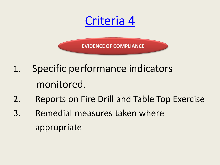Criteria 4

- 1. Specific performance indicators monitored.
- 2. Reports on Fire Drill and Table Top Exercise
- 3. Remedial measures taken where appropriate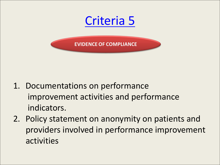

- 1. Documentations on performance improvement activities and performance indicators.
- 2. Policy statement on anonymity on patients and providers involved in performance improvement activities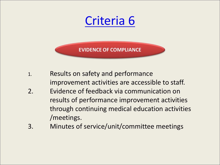- 1. Results on safety and performance improvement activities are accessible to staff.
- 2. Evidence of feedback via communication on results of performance improvement activities through continuing medical education activities /meetings.
- 3. Minutes of service/unit/committee meetings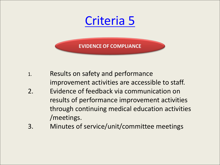- 1. Results on safety and performance improvement activities are accessible to staff.
- 2. Evidence of feedback via communication on results of performance improvement activities through continuing medical education activities /meetings.
- 3. Minutes of service/unit/committee meetings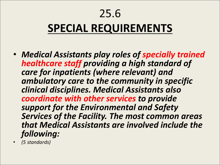## 25.6

# **SPECIAL REQUIREMENTS**

- *Medical Assistants play roles of specially trained healthcare staff providing a high standard of care for inpatients (where relevant) and ambulatory care to the community in specific clinical disciplines. Medical Assistants also coordinate with other services to provide support for the Environmental and Safety Services of the Facility. The most common areas that Medical Assistants are involved include the following:*
- *(5 standards)*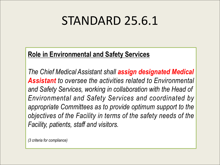# STANDARD 25.6.1

### **Role in Environmental and Safety Services**

*The Chief MedicalAssistant shall assign designated Medical Assistant to oversee the activities related to Environmental and Safety Services, working in collaboration with the Head of Environmental and Safety Services and coordinated by appropriate Committees as to provide optimum support to the objectives of the Facility in terms of the safety needs of the Facility, patients, staff and visitors.*

*(3 criteria for compliance)*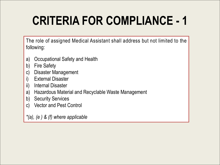The role of assigned Medical Assistant shall address but not limited to the following:

- a) Occupational Safety and Health
- b) Fire Safety
- c) Disaster Management
- i) External Disaster
- ii) Internal Disaster
- a) Hazardous Material and Recyclable Waste Management
- b) Security Services
- c) Vector and Pest Control

*\*(a), (e ) & (f) where applicable*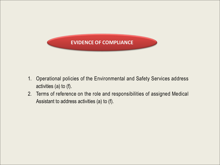

- 1. Operational policies of the Environmental and Safety Services address activities (a) to (f).
- 2. Terms of reference on the role and responsibilities of assigned Medical Assistant to address activities (a) to (f).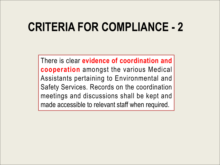There isclear **evidence of coordination and cooperation** amongst the various Medical Assistants pertaining to Environmental and Safety Services. Records on the coordination meetings and discussions shall be kept and made accessible to relevant staff when required.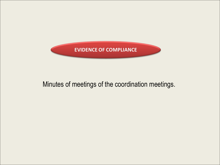

### Minutes of meetings of the coordination meetings.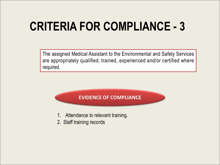The assigned Medical Assistant to the Environmental and Safety Services are appropriately qualified, trained, experienced and/or certified where **CRITERIA FOR COMPLIANCE - 3**<br>The assigned Medical Assistant to the Environmental and Safety Services<br>are appropriately qualified, trained, experienced and/or certified where<br>required.



- 1. Attendance to relevant training.
- 2. Staff training records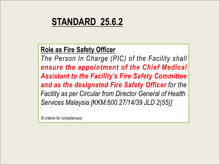### **STANDARD 25.6.2**

### **Role as Fire Safety Officer**

*The Person In Charge (PIC) of the Facility shall ensure the appointment of the Chief Medical Assistant to the Facility's Fire Safety Committee and as the designated Fire Safety Officer for the Facility as per Circular from Director General of Health Services Malaysia [KKM.600.27/14/39 JLD 2(55)]*

*(6 criteria for compliances)*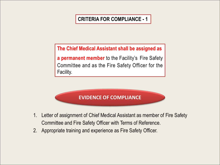**The Chief Medical Assistant shall be assigned as**

**a permanent member** to the Facility's Fire Safety Committee and as the Fire Safety Officer for the Facility.

- 1. Letter of assignment of Chief Medical Assistant as member of Fire Safety Committee and Fire Safety Officer with Terms of Reference.
- 2. Appropriate training and experience as Fire Safety Officer.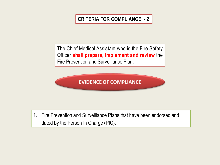The Chief Medical Assistant who is the Fire Safety Officer **shall prepare, implement and review** the Fire Prevention and Surveillance Plan.

**EVIDENCE OF COMPLIANCE** 

1. Fire Prevention and Surveillance Plans that have been endorsed and dated by the Person In Charge (PIC).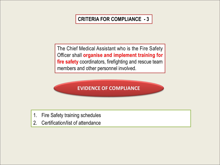The Chief Medical Assistant who is the Fire Safety Officer shall **organise and implement training for fire safety** coordinators, firefighting and rescue team members and other personnel involved.



- 1. Fire Safety training schedules
- 2. Certification/list of attendance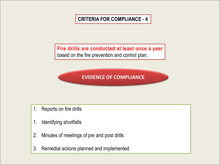**Fire drills are conducted at least once a year** based on the fire prevention and control plan.

- 1. Reports on fire drills
- 1. Identifying shortfalls
- 2. Minutes of meetings of pre and post drills
- 3. Remedial actions planned and implemented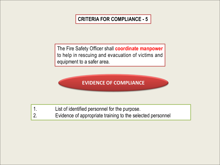The Fire Safety Officer shall **coordinate manpower** to help in rescuing and evacuation of victims and equipment to a safer area.

**EVIDENCE OF COMPLIANCE** 

1. List of identified personnel for the purpose. 2. Evidence of appropriate training to the selected personnel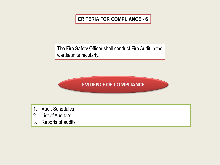The Fire Safety Officer shall conduct Fire Audit in the wards/units regularly.



- 1. Audit Schedules
- 2. List of Auditors
- 3. Reports of audits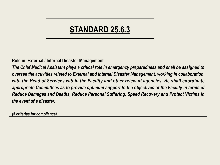### **STANDARD 25.6.3**

**Role in External / Internal Disaster Management**

*The Chief Medical Assistant plays a critical role in emergency preparedness and shall be assigned to oversee the activities related to External and Internal Disaster Management, working in collaboration with the Head ofServices within the Facility and other relevant agencies. He shall coordinate appropriate Committees as to provide optimum support to the objectives of the Facility in terms of Reduce Damages and Deaths, Reduce Personal Suffering, Speed Recovery and Protect Victims in the event of a disaster.*

*(5 criterias for compliance)*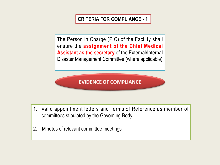The Person In Charge (PIC) of the Facility shall ensure the **assignment of the Chief Medical Assistant as the secretary** of the External/Internal Disaster Management Committee (where applicable).

- 1. Valid appointment letters and Terms of Reference as member of committees stipulated by the Governing Body.
- 2. Minutes of relevant committee meetings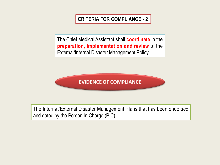The Chief Medical Assistant shall **coordinate** in the **preparation, implementation and review** of the External/Internal Disaster Management Policy.

**EVIDENCE OF COMPLIANCE** 

The Internal/External Disaster Management Plans that has been endorsed and dated by the Person In Charge (PIC).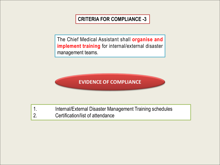The Chief Medical Assistant shall **organise and implement training** for internal/external disaster management teams.

**EVIDENCE OF COMPLIANCE** 

1. Internal/External Disaster Management Training schedules 2. Certification/list of attendance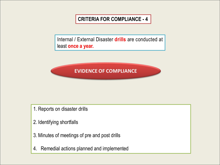Internal / External Disaster **drills** are conducted at least **once a year.**



- 1. Reports on disaster drills
- 2. Identifying shortfalls
- 3. Minutes of meetings of pre and post drills
- 4. Remedial actions planned and implemented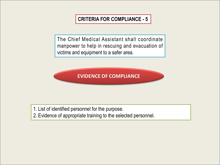The Chief Medical Assistant shall coordinate manpower to help in rescuing and evacuation of victims and equipment to a safer area.

**EVIDENCE OF COMPLIANCE** 

1. List of identified personnel for the purpose.

2. Evidence of appropriate training to the selected personnel.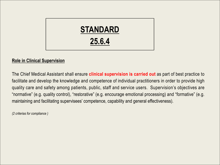

#### **Role in Clinical Supervision**

The Chief Medical Assistant shall ensure **clinical supervision is carried out** as part of best practice to facilitate and develop the knowledge and competence of individual practitioners in order to provide high quality care and safety among patients, public, staff and service users. Supervision's objectives are "normative" (e.g. quality control), "restorative" (e.g. encourage emotional processing) and "formative" (e.g. maintaining and facilitating supervisees' competence, capability and general effectiveness).

*(2 criterias for compliance )*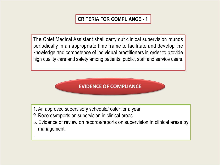The Chief Medical Assistant shall carry out clinical supervision rounds periodically in an appropriate time frame to facilitate and develop the knowledge and competence of individual practitioners in order to provide high quality care and safety among patients, public, staff and service users.

### **EVIDENCE OF COMPLIANCE**

- 1. An approved supervisory schedule/roster for a year
- 2. Records/reports on supervision in clinical areas

.

3. Evidence of review on records/reports on supervision in clinical areas by management.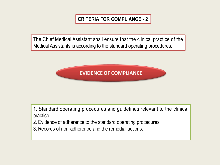The Chief Medical Assistant shall ensure that the clinical practice of the Medical Assistants is according to the standard operating procedures.



1. Standard operating procedures and guidelines relevant to the clinical practice

- 2. Evidence of adherence to the standard operating procedures.
- 3. Records of non-adherence and the remedial actions.

.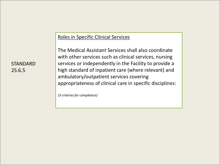#### Roles in Specific Clinical Services

STANDARD SERVICES or independently in the Facility to provide a service service subsetsion of the STANDARD services 25.6.5 **hold in the standard of inpatient care (where relevant) and the contract of the standard of inpatient care (where relevant) and the contract of the contract of the contract of the contract of the contract of the co** The Medical Assistant Services shall also coordinate with other services such as clinical services, nursing ambulatory/outpatient services covering appropriateness of clinical care in specific disciplines:

*(3 criterias for compliance)*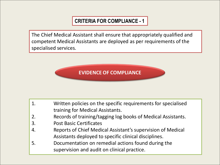The Chief Medical Assistant shall ensure that appropriately qualified and Tanana H competent Medical Assistants are deployed as per requirements of the **CRITERIA FOR COMPLIANCE - 1**<br>The Chief Medical Assistant shall ensure that appropriately qualified and<br>competent Medical Assistants are deployed as per requirements of the<br>specialised services.



| $\boxed{1}$ . | Written policies on the specific requirements for specialised |  |
|---------------|---------------------------------------------------------------|--|
|               | training for Medical Assistants.                              |  |
| 2.            | Records of training/tagging log books of Medical Assistants.  |  |
| 3.            | <b>Post Basic Certificates</b>                                |  |
| 4.            | Reports of Chief Medical Assistant's supervision of Medical   |  |
|               | Assistants deployed to specific clinical disciplines.         |  |
| 5.            | Documentation on remedial actions found during the            |  |
|               | supervision and audit on clinical practice.                   |  |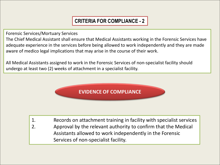Forensic Services/Mortuary Services

The Chief Medical Assistant shall ensure that Medical Assistants working in the Forensic Services have adequate experience in the services before being allowed to work independently and they are made aware of medico legal implications that may arise in the course of their work.

All Medical Assistants assigned to work in the Forensic Services of non-specialist facility should undergo at least two (2) weeks of attachment in a specialist facility.



- 1. Records on attachment training in facility with specialist services
- 2. Approval by the relevant authority to confirm that the Medical Assistants allowed to work independently in the Forensic Services of non-specialist facility.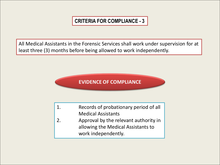All Medical Assistants in the Forensic Services shall work under supervision for at least three (3) months before being allowed to work independently.

### **EVIDENCE OF COMPLIANCE**

1. Records of probationary period of all Medical Assistants 2. Approval by the relevant authority in allowing the Medical Assistants to work independently.